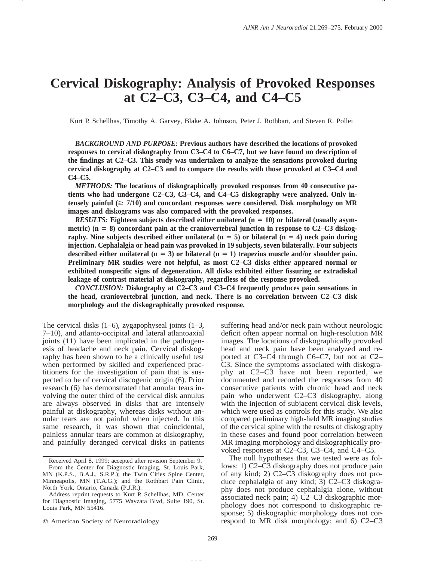# **Cervical Diskography: Analysis of Provoked Responses at C2–C3, C3–C4, and C4–C5**

Kurt P. Schellhas, Timothy A. Garvey, Blake A. Johnson, Peter J. Rothbart, and Steven R. Pollei

*BACKGROUND AND PURPOSE:* **Previous authors have described the locations of provoked responses to cervical diskography from C3–C4 to C6–C7, but we have found no description of the findings at C2–C3. This study was undertaken to analyze the sensations provoked during cervical diskography at C2–C3 and to compare the results with those provoked at C3–C4 and C4–C5.**

*METHODS:* **The locations of diskographically provoked responses from 40 consecutive patients who had undergone C2–C3, C3–C4, and C4–C5 diskography were analyzed. Only in**tensely painful  $(\geq 7/10)$  and concordant responses were considered. Disk morphology on MR **images and diskograms was also compared with the provoked responses.**

*RESULTS:* Eighteen subjects described either unilateral  $(n = 10)$  or bilateral (usually asymmetric) (n = 8) concordant pain at the craniovertebral junction in response to C2–C3 diskography. Nine subjects described either unilateral  $(n = 5)$  or bilateral  $(n = 4)$  neck pain during **injection. Cephalalgia or head pain was provoked in 19 subjects, seven bilaterally. Four subjects** described either unilateral  $(n = 3)$  or bilateral  $(n = 1)$  trapezius muscle and/or shoulder pain. **Preliminary MR studies were not helpful, as most C2–C3 disks either appeared normal or exhibited nonspecific signs of degeneration. All disks exhibited either fissuring or extradiskal leakage of contrast material at diskography, regardless of the response provoked.**

*CONCLUSION:* **Diskography at C2–C3 and C3–C4 frequently produces pain sensations in the head, craniovertebral junction, and neck. There is no correlation between C2–C3 disk morphology and the diskographically provoked response.**

The cervical disks  $(1-6)$ , zygapophyseal joints  $(1-3)$ , 7–10), and atlanto-occipital and lateral atlantoaxial joints (11) have been implicated in the pathogenesis of headache and neck pain. Cervical diskography has been shown to be a clinically useful test when performed by skilled and experienced practitioners for the investigation of pain that is suspected to be of cervical discogenic origin (6). Prior research (6) has demonstrated that annular tears involving the outer third of the cervical disk annulus are always observed in disks that are intensely painful at diskography, whereas disks without annular tears are not painful when injected. In this same research, it was shown that coincidental, painless annular tears are common at diskography, and painfully deranged cervical disks in patients suffering head and/or neck pain without neurologic deficit often appear normal on high-resolution MR images. The locations of diskographically provoked head and neck pain have been analyzed and reported at C3–C4 through C6–C7, but not at C2– C3. Since the symptoms associated with diskography at C2–C3 have not been reported, we documented and recorded the responses from 40 consecutive patients with chronic head and neck pain who underwent C2–C3 diskography, along with the injection of subjacent cervical disk levels, which were used as controls for this study. We also compared preliminary high-field MR imaging studies of the cervical spine with the results of diskography in these cases and found poor correlation between MR imaging morphology and diskographically provoked responses at C2–C3, C3–C4, and C4–C5.

The null hypotheses that we tested were as follows: 1) C2–C3 diskography does not produce pain of any kind; 2) C2–C3 diskography does not produce cephalalgia of any kind; 3) C2–C3 diskography does not produce cephalalgia alone, without associated neck pain; 4) C2–C3 diskographic morphology does not correspond to diskographic response; 5) diskographic morphology does not correspond to MR disk morphology; and 6) C2–C3

Received April 8, 1999; accepted after revision September 9. From the Center for Diagnostic Imaging, St. Louis Park, MN (K.P.S., B.A.J., S.R.P.); the Twin Cities Spine Center, Minneapolis, MN (T.A.G.); and the Rothbart Pain Clinic, North York, Ontario, Canada (P.J.R.).

Address reprint requests to Kurt P. Schellhas, MD, Center for Diagnostic Imaging, 5775 Wayzata Blvd, Suite 190, St. Louis Park, MN 55416.

 $Q$  American Society of Neuroradiology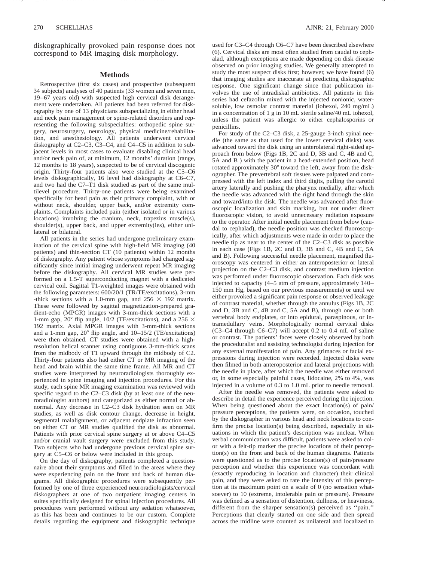diskographically provoked pain response does not correspond to MR imaging disk morphology.

Name /ajnr/21\_206 02/03/00 10:05AM Plate # 0 com osite g 270 # 2

## **Methods**

Retrospective (first six cases) and prospective (subsequent 34 subjects) analyses of 40 patients (33 women and seven men, 19–67 years old) with suspected high cervical disk derangement were undertaken. All patients had been referred for diskography by one of 13 physicians subspecializing in either head and neck pain management or spine-related disorders and representing the following subspecialties: orthopedic spine surgery, neurosurgery, neurology, physical medicine/rehabilitation, and anesthesiology. All patients underwent cervical diskography at C2–C3, C3–C4, and C4–C5 in addition to subjacent levels in most cases to evaluate disabling clinical head and/or neck pain of, at minimum, 12 months' duration (range, 12 months to 18 years), suspected to be of cervical discogenic origin. Thirty-four patients also were studied at the C5–C6 levels diskographically, 16 level had diskography at C6–C7, and two had the C7–T1 disk studied as part of the same multilevel procedure. Thirty-one patients were being examined specifically for head pain as their primary complaint, with or without neck, shoulder, upper back, and/or extremity complaints. Complaints included pain (either isolated or in various locations) involving the cranium, neck, trapezius muscle(s), shoulder(s), upper back, and upper extremity(ies), either unilateral or bilateral.

All patients in the series had undergone preliminary examination of the cervical spine with high-field MR imaging (40 patients) and thin-section CT (10 patients) within 12 months of diskography. Any patient whose symptoms had changed significantly since initial imaging underwent repeat MR imaging before the diskography. All cervical MR studies were performed on a 1.5-T superconducting magnet with a dedicated cervical coil. Sagittal T1-weighted images were obtained with the following parameters: 600/20/1 (TR/TE/excitations), 3-mm -thick sections with a 1.0-mm gap, and  $256 \times 192$  matrix. These were followed by sagittal magnetization-prepared gradient-echo (MPGR) images with 3-mm-thick sections with a 1-mm gap, 20 $^{\circ}$  flip angle, 10/2 (TE/excitations), and a 256  $\times$ 192 matrix. Axial MPGR images with 3-mm-thick sections and a 1-mm gap,  $20^{\circ}$  flip angle, and  $10-15/2$  (TE/excitations) were then obtained. CT studies were obtained with a highresolution helical scanner using contiguous 3-mm-thick scans from the midbody of T1 upward through the midbody of C2. Thirty-four patients also had either CT or MR imaging of the head and brain within the same time frame. All MR and CT studies were interpreted by neuroradiologists thoroughly experienced in spine imaging and injection procedures. For this study, each spine MR imaging examination was reviewed with specific regard to the C2–C3 disk (by at least one of the neuroradiologist authors) and categorized as either normal or abnormal. Any decrease in C2–C3 disk hydration seen on MR studies, as well as disk contour change, decrease in height, segmental malalignment, or adjacent endplate infraction seen on either CT or MR studies qualified the disk as abnormal. Patients with prior cervical spine surgery at or above C4–C5 and/or cranial vault surgery were excluded from this study. Two subjects who had undergone previous cervical spine surgery at C5–C6 or below were included in this group.

On the day of diskography, patients completed a questionnaire about their symptoms and filled in the areas where they were experiencing pain on the front and back of human diagrams. All diskographic procedures were subsequently performed by one of three experienced neuroradiologists/cervical diskographers at one of two outpatient imaging centers in suites specifically designed for spinal injection procedures. All procedures were performed without any sedation whatsoever, as this has been and continues to be our custom. Complete details regarding the equipment and diskographic technique used for C3–C4 through C6–C7 have been described elsewhere (6). Cervical disks are most often studied from caudal to cephalad, although exceptions are made depending on disk disease observed on prior imaging studies. We generally attempted to study the most suspect disks first; however, we have found (6) that imaging studies are inaccurate at predicting diskographic response. One significant change since that publication involves the use of intradiskal antibiotics. All patients in this series had cefazolin mixed with the injected nonionic, watersoluble, low osmolar contrast material (iohexol, 240 mg/mL) in a concentration of 1 g in 10 mL sterile saline/40 mL iohexol, unless the patient was allergic to either cephalosporins or penicillins.

For study of the C2–C3 disk, a 25-gauge 3-inch spinal needle (the same as that used for the lower cervical disks) was advanced toward the disk using an anterolateral right-sided approach from below (Figs 1B, 2C and D, 3B and C, 4B and C, 5A and B ) with the patient in a head-extended position, head rotated approximately 30° toward the left, away from the diskographer. The prevertebral soft tissues were palpated and compressed with the left index and third digits, pulling the carotid artery laterally and pushing the pharynx medially, after which the needle was advanced with the right hand through the skin and toward/into the disk. The needle was advanced after fluoroscopic localization and skin marking, but not under direct fluoroscopic vision, to avoid unnecessary radiation exposure to the operator. After initial needle placement from below (caudal to cephalad), the needle position was checked fluoroscopically, after which adjustments were made in order to place the needle tip as near to the center of the C2–C3 disk as possible in each case (Figs 1B, 2C and D, 3B and C, 4B and C, 5A and B). Following successful needle placement, magnified fluoroscopy was centered in either an anteroposterior or lateral projection on the C2–C3 disk, and contrast medium injection was performed under fluoroscopic observation. Each disk was injected to capacity (4–5 atm of pressure, approximately 140– 150 mm Hg, based on our previous measurements) or until we either provoked a significant pain response or observed leakage of contrast material, whether through the annulus (Figs 1B, 2C and D, 3B and C, 4B and C, 5A and B), through one or both vertebral body endplates, or into epidural, paraspinous, or intramedullary veins. Morphologically normal cervical disks (C3–C4 through C6–C7) will accept 0.2 to 0.4 mL of saline or contrast. The patients' faces were closely observed by both the proceduralist and assisting technologist during injection for any external manifestation of pain. Any grimaces or facial expressions during injection were recorded. Injected disks were then filmed in both anteroposterior and lateral projections with the needle in place, after which the needle was either removed or, in some especially painful cases, lidocaine, 2% to 4%, was injected in a volume of 0.3 to 1.0 mL prior to needle removal.

After the needle was removed, the patients were asked to describe in detail the experience perceived during the injection. When being questioned about the exact location(s) of pain/ pressure perceptions, the patients were, on occasion, touched by the diskographer in various head and neck locations to confirm the precise location(s) being described, especially in situations in which the patient's description was unclear. When verbal communication was difficult, patients were asked to color with a felt-tip marker the precise locations of their perception(s) on the front and back of the human diagrams. Patients were questioned as to the precise location(s) of pain/pressure perception and whether this experience was concordant with (exactly reproducing in location and character) their clinical pain, and they were asked to rate the intensity of this perception at its maximum point on a scale of 0 (no sensation whatsoever) to 10 (extreme, intolerable pain or pressure). Pressure was defined as a sensation of distention, dullness, or heaviness, different from the sharper sensation(s) perceived as ''pain.'' Perceptions that clearly started on one side and then spread across the midline were counted as unilateral and localized to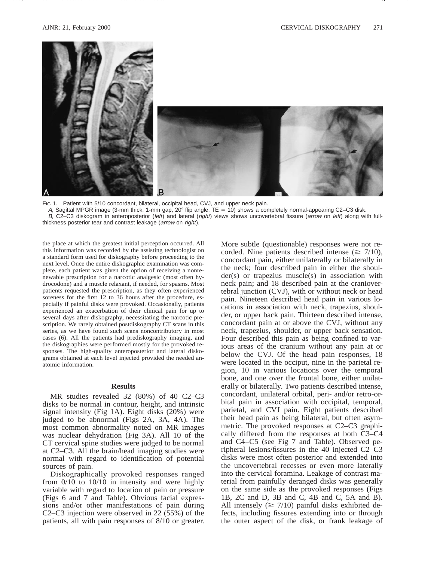

Name /ajnr/21\_206 02/03/00 10:05AM Plate # 0 com osite g 271 # 3

Fig 1. Patient with 5/10 concordant, bilateral, occipital head, CVJ, and upper neck pain.

A, Sagittal MPGR image (3-mm thick, 1-mm gap, 20 $^{\circ}$  flip angle, TE = 10) shows a completely normal-appearing C2–C3 disk.

B, C2-C3 diskogram in anteroposterior (left) and lateral (right) views shows uncovertebral fissure (arrow on left) along with fullthickness posterior tear and contrast leakage (arrow on right).

the place at which the greatest initial perception occurred. All this information was recorded by the assisting technologist on a standard form used for diskography before proceeding to the next level. Once the entire diskographic examination was complete, each patient was given the option of receiving a nonrenewable prescription for a narcotic analgesic (most often hydrocodone) and a muscle relaxant, if needed, for spasms. Most patients requested the prescription, as they often experienced soreness for the first 12 to 36 hours after the procedure, especially if painful disks were provoked. Occasionally, patients experienced an exacerbation of their clinical pain for up to several days after diskography, necessitating the narcotic prescription. We rarely obtained postdiskography CT scans in this series, as we have found such scans noncontributory in most cases (6). All the patients had prediskography imaging, and the diskographies were performed mostly for the provoked responses. The high-quality anteroposterior and lateral diskograms obtained at each level injected provided the needed anatomic information.

### **Results**

MR studies revealed 32 (80%) of 40 C2–C3 disks to be normal in contour, height, and intrinsic signal intensity (Fig 1A). Eight disks (20%) were judged to be abnormal (Figs 2A, 3A, 4A). The most common abnormality noted on MR images was nuclear dehydration (Fig 3A). All 10 of the CT cervical spine studies were judged to be normal at C2–C3. All the brain/head imaging studies were normal with regard to identification of potential sources of pain.

Diskographically provoked responses ranged from 0/10 to 10/10 in intensity and were highly variable with regard to location of pain or pressure (Figs 6 and 7 and Table). Obvious facial expressions and/or other manifestations of pain during C2–C3 injection were observed in 22 (55%) of the patients, all with pain responses of 8/10 or greater. More subtle (questionable) responses were not recorded. Nine patients described intense ( $\geq 7/10$ ), concordant pain, either unilaterally or bilaterally in the neck; four described pain in either the shoulder(s) or trapezius muscle(s) in association with neck pain; and 18 described pain at the craniovertebral junction (CVJ), with or without neck or head pain. Nineteen described head pain in various locations in association with neck, trapezius, shoulder, or upper back pain. Thirteen described intense, concordant pain at or above the CVJ, without any neck, trapezius, shoulder, or upper back sensation. Four described this pain as being confined to various areas of the cranium without any pain at or below the CVJ. Of the head pain responses, 18 were located in the occiput, nine in the parietal region, 10 in various locations over the temporal bone, and one over the frontal bone, either unilaterally or bilaterally. Two patients described intense, concordant, unilateral orbital, peri- and/or retro-orbital pain in association with occipital, temporal, parietal, and CVJ pain. Eight patients described their head pain as being bilateral, but often asymmetric. The provoked responses at C2–C3 graphically differed from the responses at both C3–C4 and C4–C5 (see Fig 7 and Table). Observed peripheral lesions/fissures in the 40 injected C2–C3 disks were most often posterior and extended into the uncovertebral recesses or even more laterally into the cervical foramina. Leakage of contrast material from painfully deranged disks was generally on the same side as the provoked responses (Figs 1B, 2C and D, 3B and C, 4B and C, 5A and B). All intensely ( $\geq 7/10$ ) painful disks exhibited defects, including fissures extending into or through the outer aspect of the disk, or frank leakage of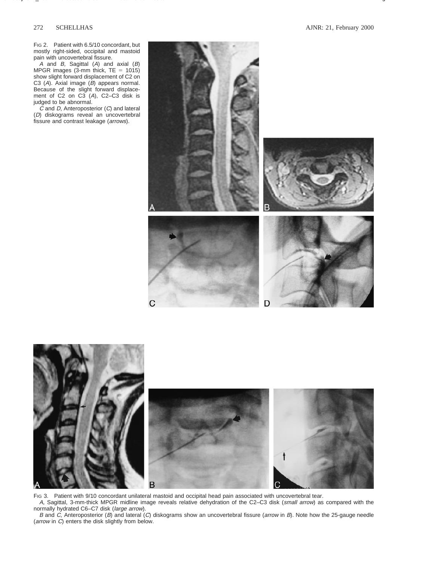FIG 2. Patient with 6.5/10 concordant, but mostly right-sided, occipital and mastoid pain with uncovertebral fissure.

 $A$  and  $B$ , Sagittal  $(A)$  and axial  $(B)$ MPGR images  $(3-$ mm thick, TE = 1015) show slight forward displacement of C2 on C3 (A). Axial image (B) appears normal. Because of the slight forward displacement of C2 on C3 (A), C2-C3 disk is judged to be abnormal.

 $\tilde{C}$  and  $D$ , Anteroposterior  $(C)$  and lateral (D) diskograms reveal an uncovertebral fissure and contrast leakage (arrows).





FIG 3. Patient with 9/10 concordant unilateral mastoid and occipital head pain associated with uncovertebral tear. A, Sagittal, 3-mm-thick MPGR midline image reveals relative dehydration of the C2–C3 disk (small arrow) as compared with the normally hydrated C6–C7 disk (large arrow).

B and C, Anteroposterior (B) and lateral (C) diskograms show an uncovertebral fissure (arrow in B). Note how the 25-gauge needle (arrow in C) enters the disk slightly from below.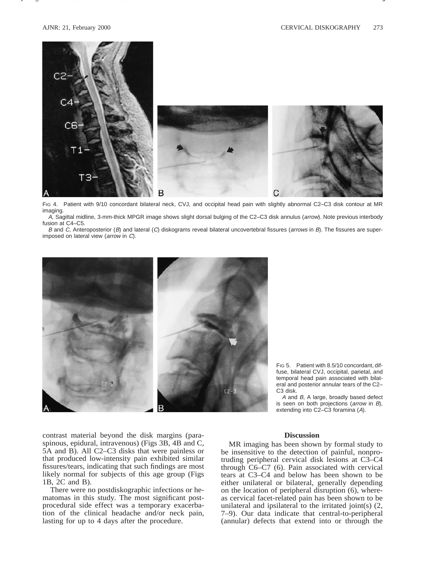

Name /ajnr/21\_206 02/03/00 10:05AM Plate # 0 com osite g 273 # 5

FIG 4. Patient with 9/10 concordant bilateral neck, CVJ, and occipital head pain with slightly abnormal C2–C3 disk contour at MR imaging.

A, Sagittal midline, 3-mm-thick MPGR image shows slight dorsal bulging of the C2-C3 disk annulus (arrow). Note previous interbody fusion at C4–C5.

B and C, Anteroposterior (B) and lateral (C) diskograms reveal bilateral uncovertebral fissures (arrows in B). The fissures are superimposed on lateral view (arrow in C).



FIG 5. Patient with 8.5/10 concordant, diffuse, bilateral CVJ, occipital, parietal, and temporal head pain associated with bilateral and posterior annular tears of the C2– C3 disk.

A and B, A large, broadly based defect is seen on both projections (arrow in B), extending into C2–C3 foramina (A).

contrast material beyond the disk margins (paraspinous, epidural, intravenous) (Figs 3B, 4B and C, 5A and B). All C2–C3 disks that were painless or that produced low-intensity pain exhibited similar fissures/tears, indicating that such findings are most likely normal for subjects of this age group (Figs 1B, 2C and B).

There were no postdiskographic infections or hematomas in this study. The most significant postprocedural side effect was a temporary exacerbation of the clinical headache and/or neck pain, lasting for up to 4 days after the procedure.

# **Discussion**

MR imaging has been shown by formal study to be insensitive to the detection of painful, nonprotruding peripheral cervical disk lesions at C3–C4 through C6–C7 (6). Pain associated with cervical tears at C3–C4 and below has been shown to be either unilateral or bilateral, generally depending on the location of peripheral disruption (6), whereas cervical facet-related pain has been shown to be unilateral and ipsilateral to the irritated joint(s) (2, 7–9). Our data indicate that central-to-peripheral (annular) defects that extend into or through the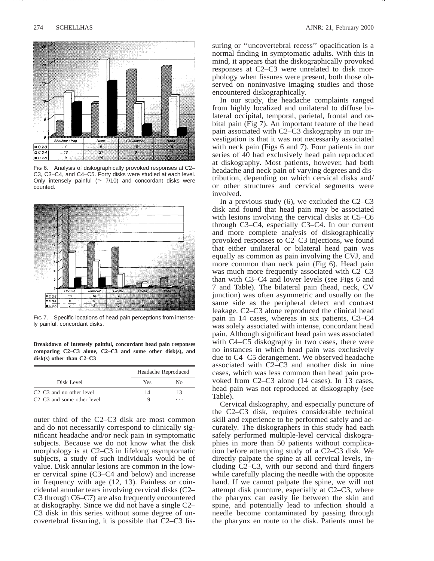

FIG 6. Analysis of diskographically provoked responses at C2-C3, C3–C4, and C4–C5. Forty disks were studied at each level. Only intensely painful  $(\geq 7/10)$  and concordant disks were counted.



FIG 7. Specific locations of head pain perceptions from intensely painful, concordant disks.

**Breakdown of intensely painful, concordant head pain responses comparing C2–C3 alone, C2–C3 and some other disk(s), and disk(s) other than C2–C3**

| Disk Level                                          | Headache Reproduced |                      |
|-----------------------------------------------------|---------------------|----------------------|
|                                                     | Yes                 | Nο                   |
| $C2-C3$ and no other level                          | 14                  | 13                   |
| C <sub>2</sub> -C <sub>3</sub> and some other level | Q                   | $\ddot{\phantom{1}}$ |

outer third of the C2–C3 disk are most common and do not necessarily correspond to clinically significant headache and/or neck pain in symptomatic subjects. Because we do not know what the disk morphology is at C2–C3 in lifelong asymptomatic subjects, a study of such individuals would be of value. Disk annular lesions are common in the lower cervical spine (C3–C4 and below) and increase in frequency with age (12, 13). Painless or coincidental annular tears involving cervical disks (C2– C3 through C6–C7) are also frequently encountered at diskography. Since we did not have a single C2– C3 disk in this series without some degree of uncovertebral fissuring, it is possible that C2–C3 fissuring or "uncovertebral recess" opacification is a normal finding in symptomatic adults. With this in mind, it appears that the diskographically provoked responses at C2–C3 were unrelated to disk morphology when fissures were present, both those observed on noninvasive imaging studies and those encountered diskographically.

Name /ajnr/21\_206 02/03/00 10:05AM Plate # 0 com osite g 274 # 6

In our study, the headache complaints ranged from highly localized and unilateral to diffuse bilateral occipital, temporal, parietal, frontal and orbital pain (Fig 7). An important feature of the head pain associated with C2–C3 diskography in our investigation is that it was not necessarily associated with neck pain (Figs 6 and 7). Four patients in our series of 40 had exclusively head pain reproduced at diskography. Most patients, however, had both headache and neck pain of varying degrees and distribution, depending on which cervical disks and/ or other structures and cervical segments were involved.

In a previous study (6), we excluded the C2–C3 disk and found that head pain may be associated with lesions involving the cervical disks at C5–C6 through C3–C4, especially C3–C4. In our current and more complete analysis of diskographically provoked responses to C2–C3 injections, we found that either unilateral or bilateral head pain was equally as common as pain involving the CVJ, and more common than neck pain (Fig 6). Head pain was much more frequently associated with C2–C3 than with C3–C4 and lower levels (see Figs 6 and 7 and Table). The bilateral pain (head, neck, CV junction) was often asymmetric and usually on the same side as the peripheral defect and contrast leakage. C2–C3 alone reproduced the clinical head pain in 14 cases, whereas in six patients, C3–C4 was solely associated with intense, concordant head pain. Although significant head pain was associated with C4–C5 diskography in two cases, there were no instances in which head pain was exclusively due to C4–C5 derangement. We observed headache associated with C2–C3 and another disk in nine cases, which was less common than head pain provoked from C2–C3 alone (14 cases). In 13 cases, head pain was not reproduced at diskography (see Table).

Cervical diskography, and especially puncture of the C2–C3 disk, requires considerable technical skill and experience to be performed safely and accurately. The diskographers in this study had each safely performed multiple-level cervical diskographies in more than 50 patients without complication before attempting study of a C2–C3 disk. We directly palpate the spine at all cervical levels, including C2–C3, with our second and third fingers while carefully placing the needle with the opposite hand. If we cannot palpate the spine, we will not attempt disk puncture, especially at C2–C3, where the pharynx can easily lie between the skin and spine, and potentially lead to infection should a needle become contaminated by passing through the pharynx en route to the disk. Patients must be